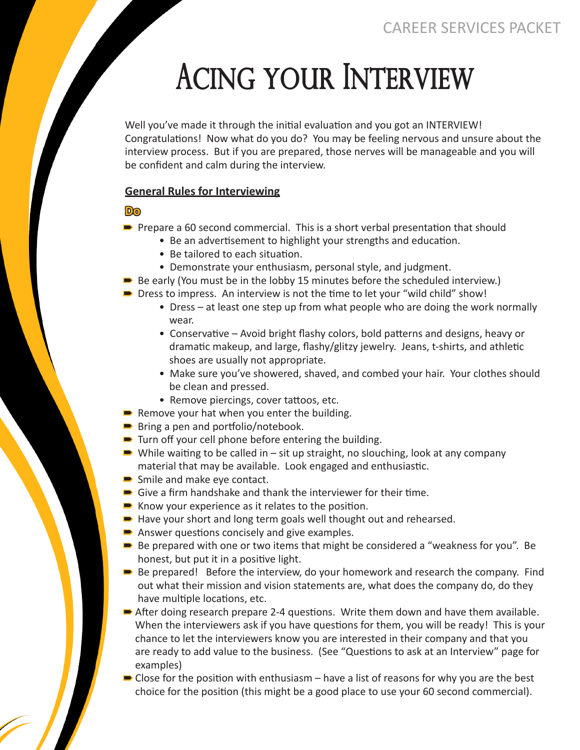# Acing Your Interview

Well you've made it through the initial evaluation and you got an INTERVIEW! Congratulations! Now what do you do? You may be feeling nervous and unsure about the interview process. But if you are prepared, those nerves will be manageable and you will be confident and calm during the interview.

#### **General Rules for Interviewing**

**Do**

- → →<br>► Prepare a 60 second commercial. This is a short verbal presentation that should
	- Be an advertisement to highlight your strengths and education.
	- Be tailored to each situation.
	- Demonstrate your enthusiasm, personal style, and judgment.
- Be early (You must be in the lobby 15 minutes before the scheduled interview.)
- Be early (four must be in the lobby 15 minutes before the scheduled interview<br>■ Dress to impress. An interview is not the time to let your "wild child" show!
	- Dress at least one step up from what people who are doing the work normally wear.
	- Conservative Avoid bright flashy colors, bold patterns and designs, heavy or dramatic makeup, and large, flashy/glitzy jewelry. Jeans, t-shirts, and athletic shoes are usually not appropriate.
	- Make sure you've showered, shaved, and combed your hair. Your clothes should be clean and pressed.
	- Remove piercings, cover tattoos, etc.
- Remove your hat when you enter the building.
- itembre your nat when you enter the sense of the Bring a pen and portfolio/notebook.
- Bring a pen and portions, notebook:<br>■ Turn off your cell phone before entering the building.
- idin on your cen phone before entering the building.<br>■ While waiting to be called in sit up straight, no slouching, look at any company material that may be available. Look engaged and enthusiastic.
- Smile and make eye contact.
- $\blacksquare$  Shine and make eye contact:<br> $\blacksquare$  Give a firm handshake and thank the interviewer for their time.
- Sive a minimand shake and thank the interviewer is<br>■ Know your experience as it relates to the position.
- Know your experience as it relates to the position.<br>■ Have your short and long term goals well thought out and rehearsed.
- Have your short and long term goals wen thought
- Answer questions concisely and give examples.<br>■ Be prepared with one or two items that might be considered a "weakness for you". Be honest, but put it in a positive light.
- Be prepared! Before the interview, do your homework and research the company. Find out what their mission and vision statements are, what does the company do, do they have multiple locations, etc.
- nave mantple locations, etc.<br>■ After doing research prepare 2-4 questions. Write them down and have them available. When the interviewers ask if you have questions for them, you will be ready! This is your chance to let the interviewers know you are interested in their company and that you are ready to add value to the business. (See "Questions to ask at an Interview" page for examples)
- **Examples,**<br>Close for the position with enthusiasm have a list of reasons for why you are the best choice for the position (this might be a good place to use your 60 second commercial).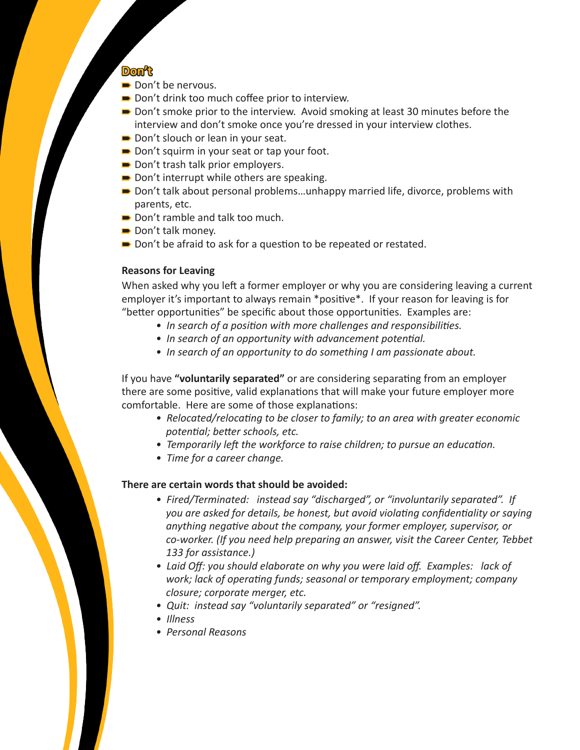## **Don't**

- **■** Don't be nervous.
- Bon't de nervous.<br>■ Don't drink too much coffee prior to interview.
- Borre annive to mathemic prior to interview.<br>■ Don't smoke prior to the interview. Avoid smoking at least 30 minutes before the interview and don't smoke once you're dressed in your interview clothes.
- Don't slouch or lean in your seat.
- Bon't slouen or learnin your seat.<br>■ Don't squirm in your seat or tap your foot.
- Bon't squirm in your seat of tap
- Bon't thash take prior employers:<br>■ Don't interrupt while others are speaking.
- Bon't micriapt will extreme the speaking.<br>■ Don't talk about personal problems...unhappy married life, divorce, problems with parents, etc.
- **Don't ramble and talk too much.**
- Bon t ramble and<br>■ Don't talk money.
- Bon't tan money.<br>■ Don't be afraid to ask for a question to be repeated or restated.

#### **Reasons for Leaving**

When asked why you left a former employer or why you are considering leaving a current employer it's important to always remain \*positive\*. If your reason for leaving is for "better opportunities" be specific about those opportunities. Examples are:

- *In search of a position with more challenges and responsibilities.*
- *In search of an opportunity with advancement potential.*
- *In search of an opportunity to do something I am passionate about.*

If you have **"voluntarily separated"** or are considering separating from an employer there are some positive, valid explanations that will make your future employer more comfortable. Here are some of those explanations:

- *Relocated/relocating to be closer to family; to an area with greater economic potential; better schools, etc.*
- *Temporarily left the workforce to raise children; to pursue an education.*
- *Time for a career change.*

### **There are certain words that should be avoided:**

- *Fired/Terminated: instead say "discharged", or "involuntarily separated". If you are asked for details, be honest, but avoid violating confidentiality or saying anything negative about the company, your former employer, supervisor, or co-worker. (If you need help preparing an answer, visit the Career Center, Tebbet 133 for assistance.)*
- *Laid Off: you should elaborate on why you were laid off. Examples: lack of work; lack of operating funds; seasonal or temporary employment; company closure; corporate merger, etc.*
- *Quit: instead say "voluntarily separated" or "resigned".*
- *Illness*
- *Personal Reasons*